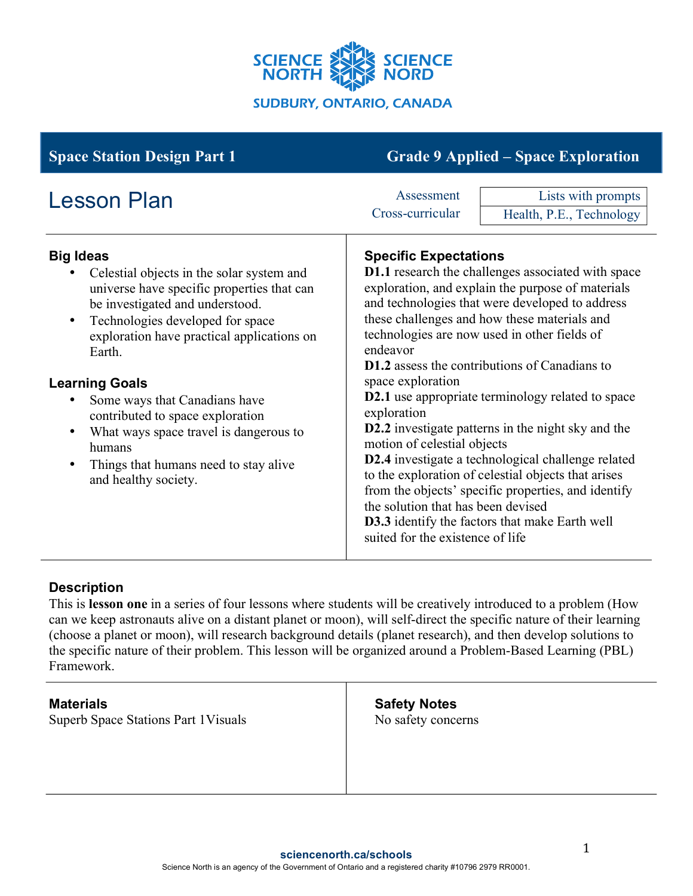

| <b>Space Station Design Part 1</b>                                                                                                                                                                                                                                                                                                                                                                                                                                                                                | <b>Grade 9 Applied - Space Exploration</b>                                                                                                                                                                                                                                                                                                                                                                                                                                                                                                                                                                                                                                                                                                                                                                                                                               |  |
|-------------------------------------------------------------------------------------------------------------------------------------------------------------------------------------------------------------------------------------------------------------------------------------------------------------------------------------------------------------------------------------------------------------------------------------------------------------------------------------------------------------------|--------------------------------------------------------------------------------------------------------------------------------------------------------------------------------------------------------------------------------------------------------------------------------------------------------------------------------------------------------------------------------------------------------------------------------------------------------------------------------------------------------------------------------------------------------------------------------------------------------------------------------------------------------------------------------------------------------------------------------------------------------------------------------------------------------------------------------------------------------------------------|--|
| <b>Lesson Plan</b>                                                                                                                                                                                                                                                                                                                                                                                                                                                                                                | Lists with prompts<br>Assessment<br>Cross-curricular<br>Health, P.E., Technology                                                                                                                                                                                                                                                                                                                                                                                                                                                                                                                                                                                                                                                                                                                                                                                         |  |
| <b>Big Ideas</b><br>Celestial objects in the solar system and<br>universe have specific properties that can<br>be investigated and understood.<br>Technologies developed for space<br>$\bullet$<br>exploration have practical applications on<br>Earth.<br><b>Learning Goals</b><br>Some ways that Canadians have<br>$\bullet$<br>contributed to space exploration<br>What ways space travel is dangerous to<br>$\bullet$<br>humans<br>Things that humans need to stay alive<br>$\bullet$<br>and healthy society. | <b>Specific Expectations</b><br><b>D1.1</b> research the challenges associated with space<br>exploration, and explain the purpose of materials<br>and technologies that were developed to address<br>these challenges and how these materials and<br>technologies are now used in other fields of<br>endeavor<br><b>D1.2</b> assess the contributions of Canadians to<br>space exploration<br><b>D2.1</b> use appropriate terminology related to space<br>exploration<br><b>D2.2</b> investigate patterns in the night sky and the<br>motion of celestial objects<br>D2.4 investigate a technological challenge related<br>to the exploration of celestial objects that arises<br>from the objects' specific properties, and identify<br>the solution that has been devised<br><b>D3.3</b> identify the factors that make Earth well<br>suited for the existence of life |  |

# **Description**

This is **lesson one** in a series of four lessons where students will be creatively introduced to a problem (How can we keep astronauts alive on a distant planet or moon), will self-direct the specific nature of their learning (choose a planet or moon), will research background details (planet research), and then develop solutions to the specific nature of their problem. This lesson will be organized around a Problem-Based Learning (PBL) Framework.

| <b>Materials</b>                     | <b>Safety Notes</b> |  |
|--------------------------------------|---------------------|--|
| Superb Space Stations Part 1 Visuals | No safety concerns  |  |
|                                      |                     |  |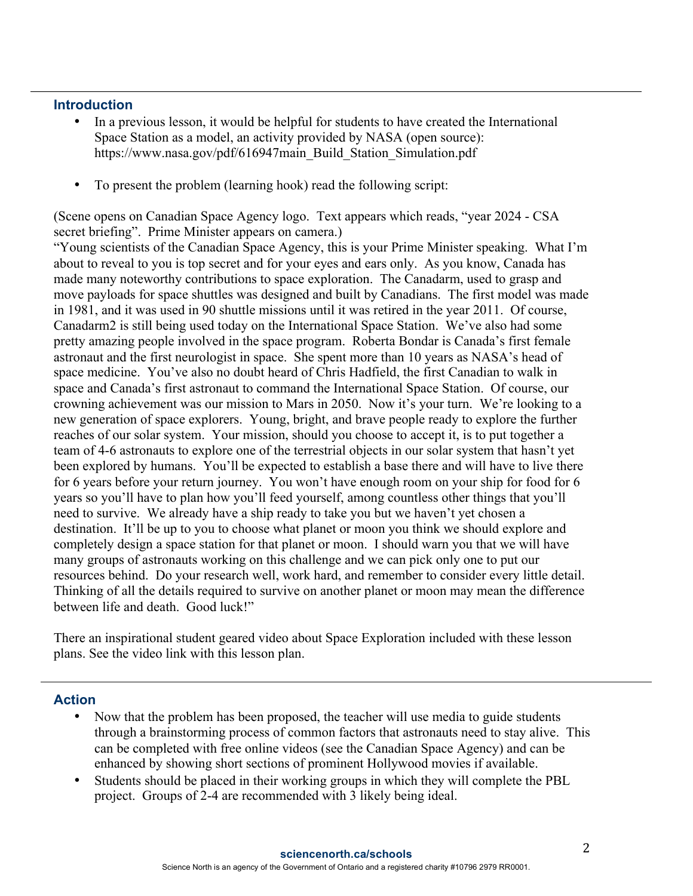#### **Introduction**

- In a previous lesson, it would be helpful for students to have created the International Space Station as a model, an activity provided by NASA (open source): https://www.nasa.gov/pdf/616947main\_Build\_Station\_Simulation.pdf
- To present the problem (learning hook) read the following script:

(Scene opens on Canadian Space Agency logo. Text appears which reads, "year 2024 - CSA secret briefing". Prime Minister appears on camera.)

"Young scientists of the Canadian Space Agency, this is your Prime Minister speaking. What I'm about to reveal to you is top secret and for your eyes and ears only. As you know, Canada has made many noteworthy contributions to space exploration. The Canadarm, used to grasp and move payloads for space shuttles was designed and built by Canadians. The first model was made in 1981, and it was used in 90 shuttle missions until it was retired in the year 2011. Of course, Canadarm2 is still being used today on the International Space Station. We've also had some pretty amazing people involved in the space program. Roberta Bondar is Canada's first female astronaut and the first neurologist in space. She spent more than 10 years as NASA's head of space medicine. You've also no doubt heard of Chris Hadfield, the first Canadian to walk in space and Canada's first astronaut to command the International Space Station. Of course, our crowning achievement was our mission to Mars in 2050. Now it's your turn. We're looking to a new generation of space explorers. Young, bright, and brave people ready to explore the further reaches of our solar system. Your mission, should you choose to accept it, is to put together a team of 4-6 astronauts to explore one of the terrestrial objects in our solar system that hasn't yet been explored by humans. You'll be expected to establish a base there and will have to live there for 6 years before your return journey. You won't have enough room on your ship for food for 6 years so you'll have to plan how you'll feed yourself, among countless other things that you'll need to survive. We already have a ship ready to take you but we haven't yet chosen a destination. It'll be up to you to choose what planet or moon you think we should explore and completely design a space station for that planet or moon. I should warn you that we will have many groups of astronauts working on this challenge and we can pick only one to put our resources behind. Do your research well, work hard, and remember to consider every little detail. Thinking of all the details required to survive on another planet or moon may mean the difference between life and death. Good luck!"

There an inspirational student geared video about Space Exploration included with these lesson plans. See the video link with this lesson plan.

### **Action**

- Now that the problem has been proposed, the teacher will use media to guide students through a brainstorming process of common factors that astronauts need to stay alive. This can be completed with free online videos (see the Canadian Space Agency) and can be enhanced by showing short sections of prominent Hollywood movies if available.
- Students should be placed in their working groups in which they will complete the PBL project. Groups of 2-4 are recommended with 3 likely being ideal.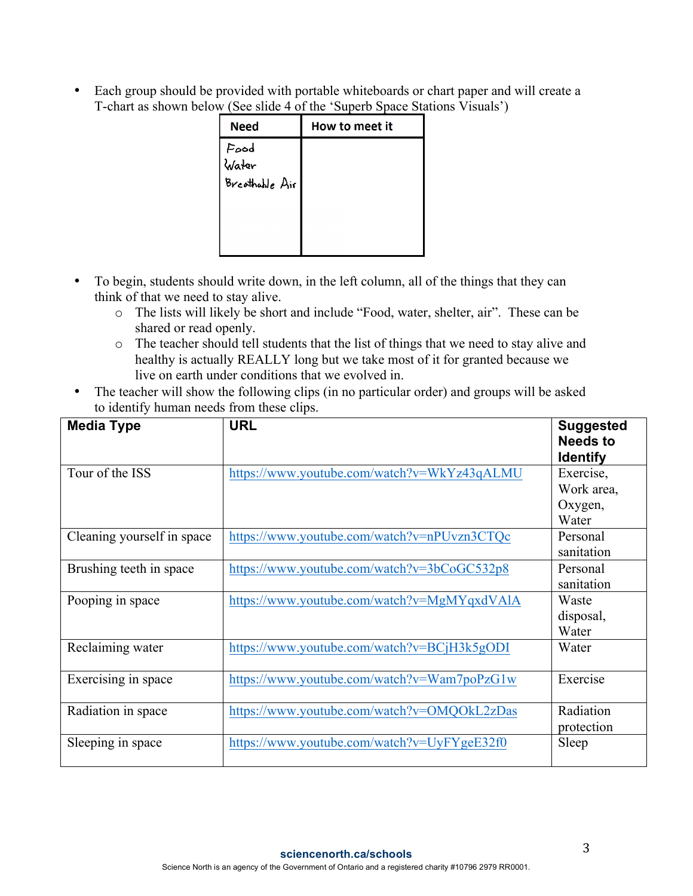• Each group should be provided with portable whiteboards or chart paper and will create a T-chart as shown below (See slide 4 of the 'Superb Space Stations Visuals')

| <b>Need</b>    | How to meet it |
|----------------|----------------|
| Food<br>Water  |                |
|                |                |
| Brcothable Air |                |
|                |                |
|                |                |
|                |                |
|                |                |

- To begin, students should write down, in the left column, all of the things that they can think of that we need to stay alive.
	- o The lists will likely be short and include "Food, water, shelter, air". These can be shared or read openly.
	- o The teacher should tell students that the list of things that we need to stay alive and healthy is actually REALLY long but we take most of it for granted because we live on earth under conditions that we evolved in.
- The teacher will show the following clips (in no particular order) and groups will be asked to identify human needs from these clips.

| <b>Media Type</b>          | <b>URL</b>                                  | <b>Suggested</b><br><b>Needs to</b><br><b>Identify</b> |
|----------------------------|---------------------------------------------|--------------------------------------------------------|
| Tour of the ISS            | https://www.youtube.com/watch?v=WkYz43qALMU | Exercise,                                              |
|                            |                                             | Work area,<br>Oxygen,<br>Water                         |
| Cleaning yourself in space | https://www.youtube.com/watch?v=nPUvzn3CTQc | Personal<br>sanitation                                 |
| Brushing teeth in space    | https://www.youtube.com/watch?v=3bCoGC532p8 | Personal<br>sanitation                                 |
| Pooping in space           | https://www.youtube.com/watch?v=MgMYqxdVAlA | Waste<br>disposal,<br>Water                            |
| Reclaiming water           | https://www.youtube.com/watch?v=BCjH3k5gODI | Water                                                  |
| Exercising in space        | https://www.youtube.com/watch?v=Wam7poPzG1w | Exercise                                               |
| Radiation in space         | https://www.youtube.com/watch?v=OMQOkL2zDas | Radiation<br>protection                                |
| Sleeping in space          | https://www.youtube.com/watch?v=UyFYgeE32f0 | Sleep                                                  |